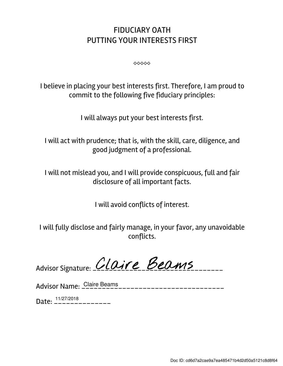## FIDUCIARY OATH PUTTING YOUR INTERESTS FIRST

⬥⬥⬥⬥⬥

I believe in placing your best interests first. Therefore, I am proud to commit to the following five fiduciary principles:

I will always put your best interests first.

I will act with prudence; that is, with the skill, care, diligence, and good judgment of a professional.

I will not mislead you, and I will provide conspicuous, full and fair disclosure of all important facts.

I will avoid conflicts of interest.

I will fully disclose and fairly manage, in your favor, any unavoidable conflicts.

Advisor Signature: *CLOITE* Beams

Advisor Name: \_\_\_\_\_\_\_\_\_\_\_\_\_\_\_\_\_\_\_\_\_\_\_\_\_\_\_\_\_\_\_\_\_\_\_ Claire Beams

Date: \_\_\_\_\_\_\_\_\_\_\_\_\_\_ 11/27/2018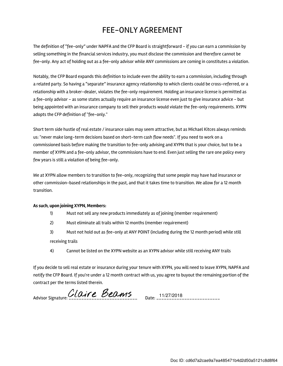## FEE-ONLY AGREEMENT

The definition of "fee-only" under NAPFA and the CFP Board is straightforward - if you can earn a commission by selling something in the financial services industry, you must disclose the commission and therefore cannot be fee-only. Any act of holding out as a fee-only advisor while ANY commissions are coming in constitutes a violation.

Notably, the CFP Board expands this definition to include even the ability to earn a commission, including through a related party. So having a "separate" insurance agency relationship to which clients could be cross-referred, or a relationship with a broker-dealer, violates the fee-only requirement. Holding an insurance license is permitted as a fee-only advisor - as some states actually require an insurance license even just to give insurance advice - but being appointed with an insurance company to sell their products would violate the fee-only requirements. XYPN adopts the CFP definition of "fee-only."

Short term side hustle of real estate / insurance sales may seem attractive, but as Michael Kitces always reminds us: "never make long-term decisions based on short-term cash flow needs". If you need to work on a commissioned basis before making the transition to fee-only advising and XYPN that is your choice, but to be a member of XYPN and a fee-only advisor, the commissions have to end. Even just selling the rare one policy every few years is still a violation of being fee-only.

We at XYPN allow members to transition to fee-only, recognizing that some people may have had insurance or other commission-based relationships in the past, and that it takes time to transition. We allow for a 12 month transition.

## As such, upon joining XYPN, Members:

- 1) Must not sell any new products immediately as of joining (member requirement)
- 2) Must eliminate all trails within 12 months (member requirement)
- 3) Must not hold out as fee-only at ANY POINT (including during the 12 month period) while still receiving trails
- 4) Cannot be listed on the XYPN website as an XYPN advisor while still receiving ANY trails

If you decide to sell real estate or insurance during your tenure with XYPN, you will need to leave XYPN, NAPFA and notify the CFP Board. If you're under a 12 month contract with us, you agree to buyout the remaining portion of the contract per the terms listed therein.

Advisor Signature:  $Claire$  Beams Date: 11/27/2018